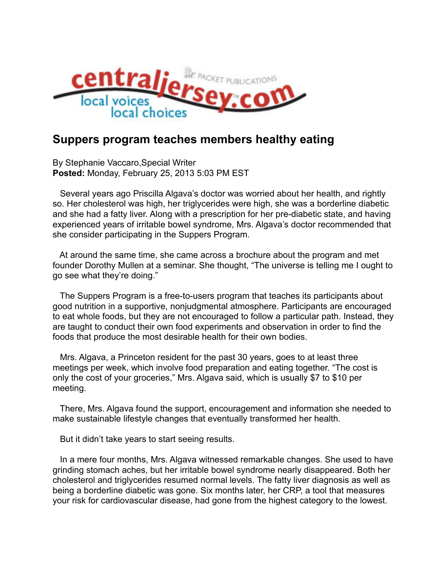

## **Suppers program teaches members healthy eating**

By Stephanie Vaccaro,Special Writer **Posted:** Monday, February 25, 2013 5:03 PM EST

 Several years ago Priscilla Algava's doctor was worried about her health, and rightly so. Her cholesterol was high, her triglycerides were high, she was a borderline diabetic and she had a fatty liver. Along with a prescription for her pre-diabetic state, and having experienced years of irritable bowel syndrome, Mrs. Algava's doctor recommended that she consider participating in the Suppers Program.

 At around the same time, she came across a brochure about the program and met founder Dorothy Mullen at a seminar. She thought, "The universe is telling me I ought to go see what they're doing."

 The Suppers Program is a free-to-users program that teaches its participants about good nutrition in a supportive, nonjudgmental atmosphere. Participants are encouraged to eat whole foods, but they are not encouraged to follow a particular path. Instead, they are taught to conduct their own food experiments and observation in order to find the foods that produce the most desirable health for their own bodies.

 Mrs. Algava, a Princeton resident for the past 30 years, goes to at least three meetings per week, which involve food preparation and eating together. "The cost is only the cost of your groceries," Mrs. Algava said, which is usually \$7 to \$10 per meeting.

 There, Mrs. Algava found the support, encouragement and information she needed to make sustainable lifestyle changes that eventually transformed her health.

But it didn't take years to start seeing results.

 In a mere four months, Mrs. Algava witnessed remarkable changes. She used to have grinding stomach aches, but her irritable bowel syndrome nearly disappeared. Both her cholesterol and triglycerides resumed normal levels. The fatty liver diagnosis as well as being a borderline diabetic was gone. Six months later, her CRP, a tool that measures your risk for cardiovascular disease, had gone from the highest category to the lowest.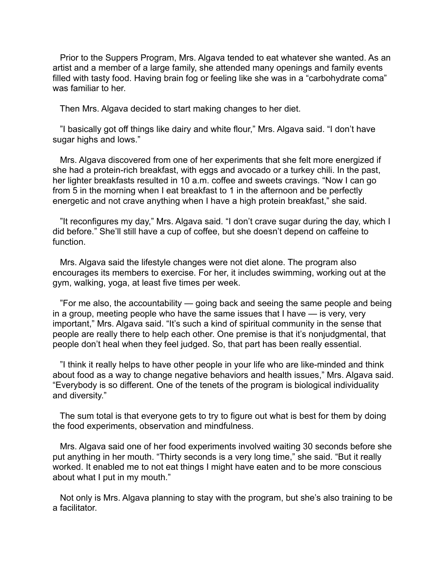Prior to the Suppers Program, Mrs. Algava tended to eat whatever she wanted. As an artist and a member of a large family, she attended many openings and family events filled with tasty food. Having brain fog or feeling like she was in a "carbohydrate coma" was familiar to her.

Then Mrs. Algava decided to start making changes to her diet.

 "I basically got off things like dairy and white flour," Mrs. Algava said. "I don't have sugar highs and lows."

 Mrs. Algava discovered from one of her experiments that she felt more energized if she had a protein-rich breakfast, with eggs and avocado or a turkey chili. In the past, her lighter breakfasts resulted in 10 a.m. coffee and sweets cravings. "Now I can go from 5 in the morning when I eat breakfast to 1 in the afternoon and be perfectly energetic and not crave anything when I have a high protein breakfast," she said.

 "It reconfigures my day," Mrs. Algava said. "I don't crave sugar during the day, which I did before." She'll still have a cup of coffee, but she doesn't depend on caffeine to function.

 Mrs. Algava said the lifestyle changes were not diet alone. The program also encourages its members to exercise. For her, it includes swimming, working out at the gym, walking, yoga, at least five times per week.

 "For me also, the accountability — going back and seeing the same people and being in a group, meeting people who have the same issues that I have — is very, very important," Mrs. Algava said. "It's such a kind of spiritual community in the sense that people are really there to help each other. One premise is that it's nonjudgmental, that people don't heal when they feel judged. So, that part has been really essential.

 "I think it really helps to have other people in your life who are like-minded and think about food as a way to change negative behaviors and health issues," Mrs. Algava said. "Everybody is so different. One of the tenets of the program is biological individuality and diversity."

 The sum total is that everyone gets to try to figure out what is best for them by doing the food experiments, observation and mindfulness.

 Mrs. Algava said one of her food experiments involved waiting 30 seconds before she put anything in her mouth. "Thirty seconds is a very long time," she said. "But it really worked. It enabled me to not eat things I might have eaten and to be more conscious about what I put in my mouth."

 Not only is Mrs. Algava planning to stay with the program, but she's also training to be a facilitator.